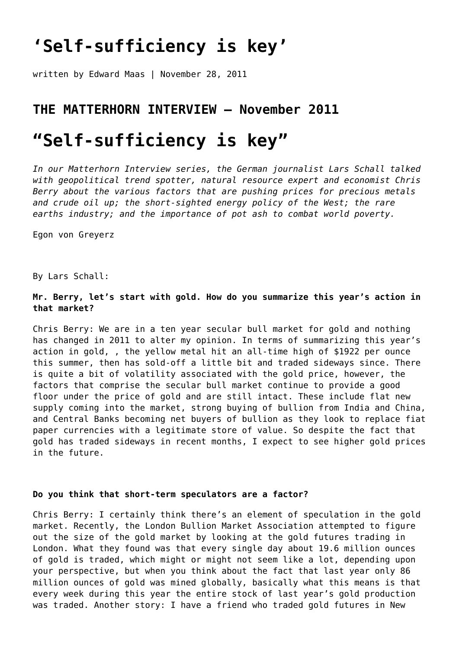## **['Self-sufficiency is key'](https://goldswitzerland.com/self-sufficiency-is-key-the-matterhorn-interview-november-2011/)**

written by Edward Maas | November 28, 2011

## **THE MATTERHORN INTERVIEW – November 2011**

# **"Self-sufficiency is key"**

*In our Matterhorn Interview series, the German journalist Lars Schall talked with geopolitical trend spotter, natural resource expert and economist Chris Berry about the various factors that are pushing prices for precious metals and crude oil up; the short-sighted energy policy of the West; the rare earths industry; and the importance of pot ash to combat world poverty.* 

Egon von Greyerz

By Lars Schall:

## **Mr. Berry, let's start with gold. How do you summarize this year's action in that market?**

Chris Berry: We are in a ten year secular bull market for gold and nothing has changed in 2011 to alter my opinion. In terms of summarizing this year's action in gold, , the yellow metal hit an all-time high of \$1922 per ounce this summer, then has sold-off a little bit and traded sideways since. There is quite a bit of volatility associated with the gold price, however, the factors that comprise the secular bull market continue to provide a good floor under the price of gold and are still intact. These include flat new supply coming into the market, strong buying of bullion from India and China, and Central Banks becoming net buyers of bullion as they look to replace fiat paper currencies with a legitimate store of value. So despite the fact that gold has traded sideways in recent months, I expect to see higher gold prices in the future.

#### **Do you think that short-term speculators are a factor?**

Chris Berry: I certainly think there's an element of speculation in the gold market. Recently, the London Bullion Market Association attempted to figure out the size of the gold market by looking at the gold futures trading in London. What they found was that every single day about 19.6 million ounces of gold is traded, which might or might not seem like a lot, depending upon your perspective, but when you think about the fact that last year only 86 million ounces of gold was mined globally, basically what this means is that every week during this year the entire stock of last year's gold production was traded. Another story: I have a friend who traded gold futures in New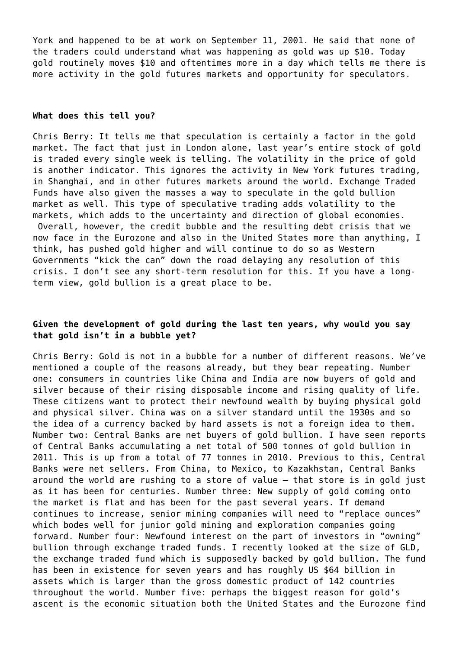York and happened to be at work on September 11, 2001. He said that none of the traders could understand what was happening as gold was up \$10. Today gold routinely moves \$10 and oftentimes more in a day which tells me there is more activity in the gold futures markets and opportunity for speculators.

#### **What does this tell you?**

Chris Berry: It tells me that speculation is certainly a factor in the gold market. The fact that just in London alone, last year's entire stock of gold is traded every single week is telling. The volatility in the price of gold is another indicator. This ignores the activity in New York futures trading, in Shanghai, and in other futures markets around the world. Exchange Traded Funds have also given the masses a way to speculate in the gold bullion market as well. This type of speculative trading adds volatility to the markets, which adds to the uncertainty and direction of global economies. Overall, however, the credit bubble and the resulting debt crisis that we now face in the Eurozone and also in the United States more than anything, I think, has pushed gold higher and will continue to do so as Western Governments "kick the can" down the road delaying any resolution of this crisis. I don't see any short-term resolution for this. If you have a longterm view, gold bullion is a great place to be.

## **Given the development of gold during the last ten years, why would you say that gold isn't in a bubble yet?**

Chris Berry: Gold is not in a bubble for a number of different reasons. We've mentioned a couple of the reasons already, but they bear repeating. Number one: consumers in countries like China and India are now buyers of gold and silver because of their rising disposable income and rising quality of life. These citizens want to protect their newfound wealth by buying physical gold and physical silver. China was on a silver standard until the 1930s and so the idea of a currency backed by hard assets is not a foreign idea to them. Number two: Central Banks are net buyers of gold bullion. I have seen reports of Central Banks accumulating a net total of 500 tonnes of gold bullion in 2011. This is up from a total of 77 tonnes in 2010. Previous to this, Central Banks were net sellers. From China, to Mexico, to Kazakhstan, Central Banks around the world are rushing to a store of value – that store is in gold just as it has been for centuries. Number three: New supply of gold coming onto the market is flat and has been for the past several years. If demand continues to increase, senior mining companies will need to "replace ounces" which bodes well for junior gold mining and exploration companies going forward. Number four: Newfound interest on the part of investors in "owning" bullion through exchange traded funds. I recently looked at the size of GLD, the exchange traded fund which is supposedly backed by gold bullion. The fund has been in existence for seven years and has roughly US \$64 billion in assets which is larger than the gross domestic product of 142 countries throughout the world. Number five: perhaps the biggest reason for gold's ascent is the economic situation both the United States and the Eurozone find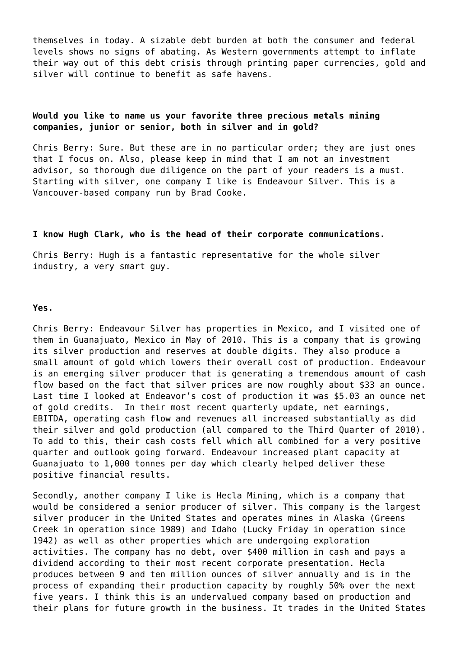themselves in today. A sizable debt burden at both the consumer and federal levels shows no signs of abating. As Western governments attempt to inflate their way out of this debt crisis through printing paper currencies, gold and silver will continue to benefit as safe havens.

## **Would you like to name us your favorite three precious metals mining companies, junior or senior, both in silver and in gold?**

Chris Berry: Sure. But these are in no particular order; they are just ones that I focus on. Also, please keep in mind that I am not an investment advisor, so thorough due diligence on the part of your readers is a must. Starting with silver, one company I like is [Endeavour Silver.](http://www.edrsilver.com/s/Home.asp) This is a Vancouver-based company run by Brad Cooke.

#### **I know Hugh Clark, who is the head of their corporate communications.**

Chris Berry: Hugh is a fantastic representative for the whole silver industry, a very smart guy.

#### **Yes.**

Chris Berry: Endeavour Silver has properties in Mexico, and I visited one of them in Guanajuato, Mexico in May of 2010. This is a company that is growing its silver production and reserves at double digits. They also produce a small amount of gold which lowers their overall cost of production. Endeavour is an emerging silver producer that is generating a tremendous amount of cash flow based on the fact that silver prices are now roughly about \$33 an ounce. Last time I looked at Endeavor's cost of production it was \$5.03 an ounce net of gold credits. In their most recent quarterly update, net earnings, EBITDA, operating cash flow and revenues all increased substantially as did their silver and gold production (all compared to the Third Quarter of 2010). To add to this, their cash costs fell which all combined for a very positive quarter and outlook going forward. Endeavour increased plant capacity at Guanajuato to 1,000 tonnes per day which clearly helped deliver these positive financial results.

Secondly, another company I like is [Hecla Mining](http://www.hecla-mining.com/), which is a company that would be considered a senior producer of silver. This company is the largest silver producer in the United States and operates mines in Alaska (Greens Creek in operation since 1989) and Idaho (Lucky Friday in operation since 1942) as well as other properties which are undergoing exploration activities. The company has no debt, over \$400 million in cash and pays a dividend according to their most recent corporate presentation. Hecla produces between 9 and ten million ounces of silver annually and is in the process of expanding their production capacity by roughly 50% over the next five years. I think this is an undervalued company based on production and their plans for future growth in the business. It trades in the United States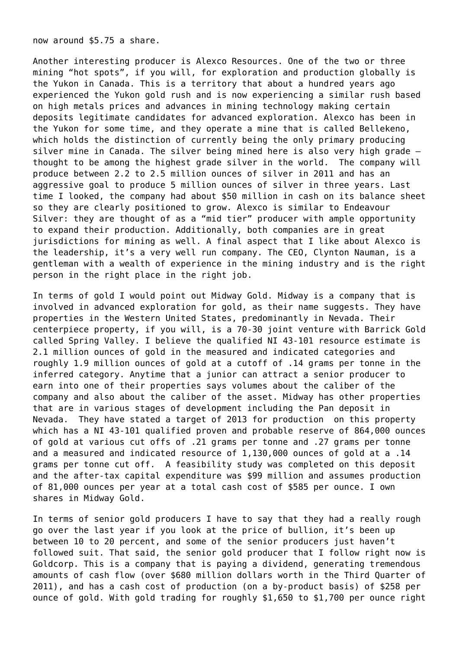now around \$5.75 a share.

Another interesting producer is [Alexco Resources](http://www.alexcoresource.com/s/Home.asp). One of the two or three mining "hot spots", if you will, for exploration and production globally is the Yukon in Canada. This is a territory that about a hundred years ago experienced the Yukon gold rush and is now experiencing a similar rush based on high metals prices and advances in mining technology making certain deposits legitimate candidates for advanced exploration. Alexco has been in the Yukon for some time, and they operate a mine that is called Bellekeno, which holds the distinction of currently being the only primary producing silver mine in Canada. The silver being mined here is also very high grade – thought to be among the highest grade silver in the world. The company will produce between 2.2 to 2.5 million ounces of silver in 2011 and has an aggressive goal to produce 5 million ounces of silver in three years. Last time I looked, the company had about \$50 million in cash on its balance sheet so they are clearly positioned to grow. Alexco is similar to Endeavour Silver: they are thought of as a "mid tier" producer with ample opportunity to expand their production. Additionally, both companies are in great jurisdictions for mining as well. A final aspect that I like about Alexco is the leadership, it's a very well run company. The CEO, Clynton Nauman, is a gentleman with a wealth of experience in the mining industry and is the right person in the right place in the right job.

In terms of gold I would point out [Midway Gold](http://www.midwaygold.com/s/Home.asp). Midway is a company that is involved in advanced exploration for gold, as their name suggests. They have properties in the Western United States, predominantly in Nevada. Their centerpiece property, if you will, is a 70-30 joint venture with Barrick Gold called Spring Valley. I believe the qualified NI 43-101 resource estimate is 2.1 million ounces of gold in the measured and indicated categories and roughly 1.9 million ounces of gold at a cutoff of .14 grams per tonne in the inferred category. Anytime that a junior can attract a senior producer to earn into one of their properties says volumes about the caliber of the company and also about the caliber of the asset. Midway has other properties that are in various stages of development including the Pan deposit in Nevada. They have stated a target of 2013 for production on this property which has a NI 43-101 qualified proven and probable reserve of 864,000 ounces of gold at various cut offs of .21 grams per tonne and .27 grams per tonne and a measured and indicated resource of 1,130,000 ounces of gold at a .14 grams per tonne cut off. A feasibility study was completed on this deposit and the after-tax capital expenditure was \$99 million and assumes production of 81,000 ounces per year at a total cash cost of \$585 per ounce. I own shares in Midway Gold.

In terms of senior gold producers I have to say that they had a really rough go over the last year if you look at the price of bullion, it's been up between 10 to 20 percent, and some of the senior producers just haven't followed suit. That said, the senior gold producer that I follow right now is [Goldcorp](http://www.goldcorp.com/). This is a company that is paying a dividend, generating tremendous amounts of cash flow (over \$680 million dollars worth in the Third Quarter of 2011), and has a cash cost of production (on a by-product basis) of \$258 per ounce of gold. With gold trading for roughly \$1,650 to \$1,700 per ounce right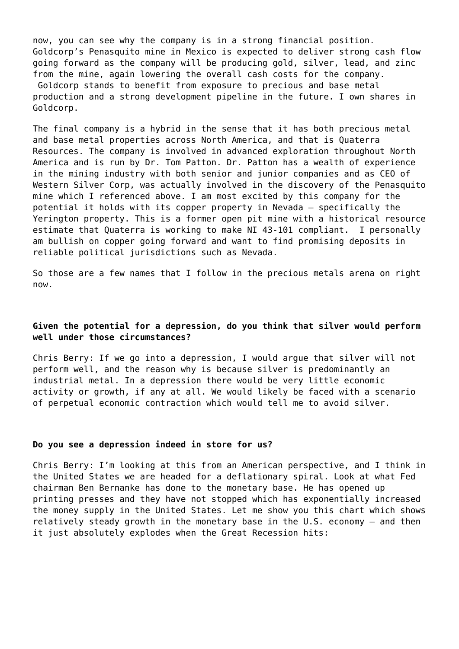now, you can see why the company is in a strong financial position. Goldcorp's Penasquito mine in Mexico is expected to deliver strong cash flow going forward as the company will be producing gold, silver, lead, and zinc from the mine, again lowering the overall cash costs for the company. Goldcorp stands to benefit from exposure to precious and base metal production and a strong development pipeline in the future. I own shares in Goldcorp.

The final company is a hybrid in the sense that it has both precious metal and base metal properties across North America, and that is [Quaterra](http://www.quaterra.com/) [Resources](http://www.quaterra.com/). The company is involved in advanced exploration throughout North America and is run by Dr. Tom Patton. Dr. Patton has a wealth of experience in the mining industry with both senior and junior companies and as CEO of Western Silver Corp, was actually involved in the discovery of the Penasquito mine which I referenced above. I am most excited by this company for the potential it holds with its copper property in Nevada – specifically the Yerington property. This is a former open pit mine with a historical resource estimate that Quaterra is working to make NI 43-101 compliant. I personally am bullish on copper going forward and want to find promising deposits in reliable political jurisdictions such as Nevada.

So those are a few names that I follow in the precious metals arena on right now.

## **Given the potential for a depression, do you think that silver would perform well under those circumstances?**

Chris Berry: If we go into a depression, I would argue that silver will not perform well, and the reason why is because silver is predominantly an industrial metal. In a depression there would be very little economic activity or growth, if any at all. We would likely be faced with a scenario of perpetual economic contraction which would tell me to avoid silver.

#### **Do you see a depression indeed in store for us?**

Chris Berry: I'm looking at this from an American perspective, and I think in the United States we are headed for a deflationary spiral. Look at what Fed chairman Ben Bernanke has done to the monetary base. He has opened up printing presses and they have not stopped which has exponentially increased the money supply in the United States. Let me show you this chart which shows relatively steady growth in the monetary base in the U.S. economy – and then it just absolutely explodes when the Great Recession hits: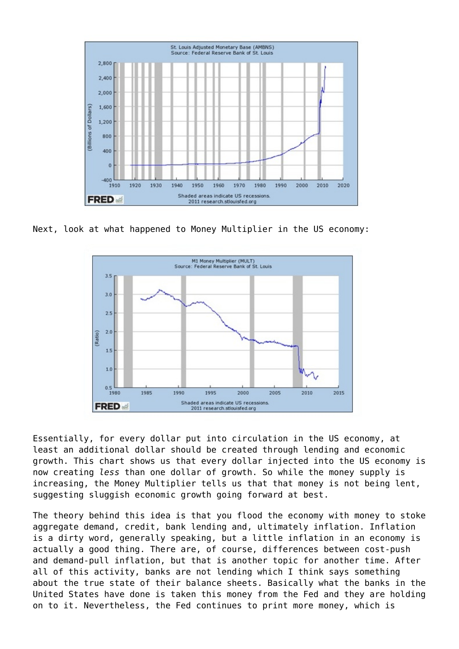

Next, look at what happened to Money Multiplier in the US economy:



Essentially, for every dollar put into circulation in the US economy, at least an additional dollar should be created through lending and economic growth. This chart shows us that every dollar injected into the US economy is now creating *less* than one dollar of growth. So while the money supply is increasing, the Money Multiplier tells us that that money is not being lent, suggesting sluggish economic growth going forward at best.

The theory behind this idea is that you flood the economy with money to stoke aggregate demand, credit, bank lending and, ultimately inflation. Inflation is a dirty word, generally speaking, but a little inflation in an economy is actually a good thing. There are, of course, differences between cost-push and demand-pull inflation, but that is another topic for another time. After all of this activity, banks are not lending which I think says something about the true state of their balance sheets. Basically what the banks in the United States have done is taken this money from the Fed and they are holding on to it. Nevertheless, the Fed continues to print more money, which is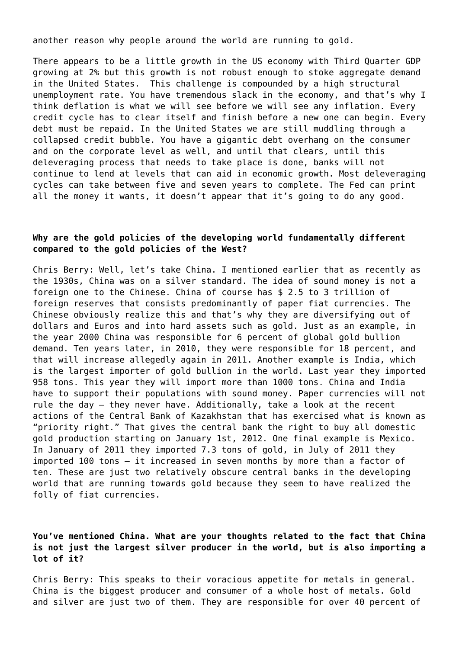another reason why people around the world are running to gold.

There appears to be a little growth in the US economy with Third Quarter GDP growing at 2% but this growth is not robust enough to stoke aggregate demand in the United States. This challenge is compounded by a high structural unemployment rate. You have tremendous slack in the economy, and that's why I think deflation is what we will see before we will see any inflation. Every credit cycle has to clear itself and finish before a new one can begin. Every debt must be repaid. In the United States we are still muddling through a collapsed credit bubble. You have a gigantic debt overhang on the consumer and on the corporate level as well, and until that clears, until this deleveraging process that needs to take place is done, banks will not continue to lend at levels that can aid in economic growth. Most deleveraging cycles can take between five and seven years to complete. The Fed can print all the money it wants, it doesn't appear that it's going to do any good.

#### **Why are the gold policies of the developing world fundamentally different compared to the gold policies of the West?**

Chris Berry: Well, let's take China. I mentioned earlier that as recently as the 1930s, China was on a silver standard. The idea of sound money is not a foreign one to the Chinese. China of course has \$ 2.5 to 3 trillion of foreign reserves that consists predominantly of paper fiat currencies. The Chinese obviously realize this and that's why they are diversifying out of dollars and Euros and into hard assets such as gold. Just as an example, in the year 2000 China was responsible for 6 percent of global gold bullion demand. Ten years later, in 2010, they were responsible for 18 percent, and that will increase allegedly again in 2011. Another example is India, which is the largest importer of gold bullion in the world. Last year they imported 958 tons. This year they will import more than 1000 tons. China and India have to support their populations with sound money. Paper currencies will not rule the day – they never have. Additionally, take a look at the recent actions of the Central Bank of Kazakhstan that has exercised what is known as "priority right." That gives the central bank the right to buy all domestic gold production starting on January 1st, 2012. One final example is Mexico. In January of 2011 they imported 7.3 tons of gold, in July of 2011 they imported 100 tons – it increased in seven months by more than a factor of ten. These are just two relatively obscure central banks in the developing world that are running towards gold because they seem to have realized the folly of fiat currencies.

## **You've mentioned China. What are your thoughts related to the fact that China is not just the largest silver producer in the world, but is also importing a lot of it?**

Chris Berry: This speaks to their voracious appetite for metals in general. China is the biggest producer and consumer of a whole host of metals. Gold and silver are just two of them. They are responsible for over 40 percent of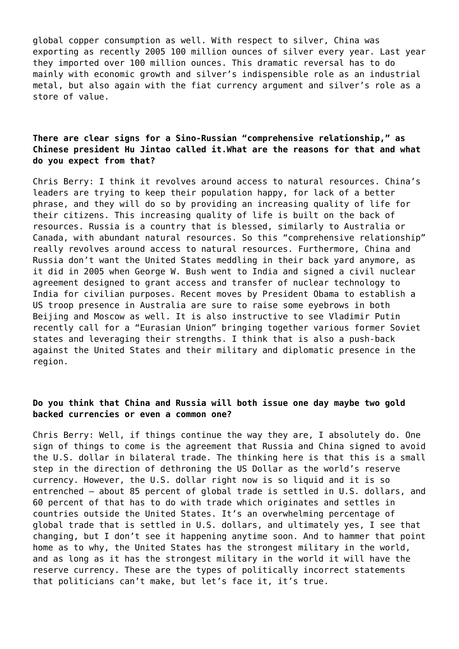global copper consumption as well. With respect to silver, China was exporting as recently 2005 100 million ounces of silver every year. Last year they imported over 100 million ounces. This dramatic reversal has to do mainly with economic growth and silver's indispensible role as an industrial metal, but also again with the fiat currency argument and silver's role as a store of value.

## **There are clear signs for a Sino-Russian "comprehensive relationship," as Chinese president Hu Jintao called it.What are the reasons for that and what do you expect from that?**

Chris Berry: I think it revolves around access to natural resources. China's leaders are trying to keep their population happy, for lack of a better phrase, and they will do so by providing an increasing quality of life for their citizens. This increasing quality of life is built on the back of resources. Russia is a country that is blessed, similarly to Australia or Canada, with abundant natural resources. So this "comprehensive relationship" really revolves around access to natural resources. Furthermore, China and Russia don't want the United States meddling in their back yard anymore, as it did in 2005 when George W. Bush went to India and signed a civil nuclear agreement designed to grant access and transfer of nuclear technology to India for civilian purposes. Recent moves by President Obama to establish a US troop presence in Australia are sure to raise some eyebrows in both Beijing and Moscow as well. It is also instructive to see Vladimir Putin recently call for a "Eurasian Union" bringing together various former Soviet states and leveraging their strengths. I think that is also a push-back against the United States and their military and diplomatic presence in the region.

## **Do you think that China and Russia will both issue one day maybe two gold backed currencies or even a common one?**

Chris Berry: Well, if things continue the way they are, I absolutely do. One sign of things to come is the agreement that Russia and China signed to avoid the U.S. dollar in bilateral trade. The thinking here is that this is a small step in the direction of dethroning the US Dollar as the world's reserve currency. However, the U.S. dollar right now is so liquid and it is so entrenched – about 85 percent of global trade is settled in U.S. dollars, and 60 percent of that has to do with trade which originates and settles in countries outside the United States. It's an overwhelming percentage of global trade that is settled in U.S. dollars, and ultimately yes, I see that changing, but I don't see it happening anytime soon. And to hammer that point home as to why, the United States has the strongest military in the world, and as long as it has the strongest military in the world it will have the reserve currency. These are the types of politically incorrect statements that politicians can't make, but let's face it, it's true.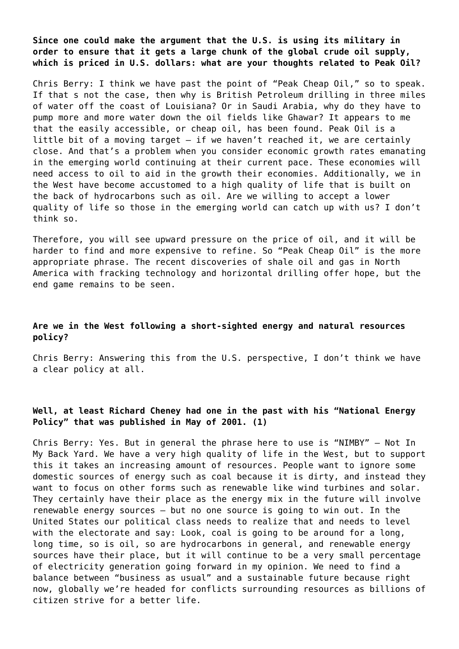**Since one could make the argument that the U.S. is using its military in order to ensure that it gets a large chunk of the global crude oil supply, which is priced in U.S. dollars: what are your thoughts related to Peak Oil?**

Chris Berry: I think we have past the point of "Peak Cheap Oil," so to speak. If that s not the case, then why is British Petroleum drilling in three miles of water off the coast of Louisiana? Or in Saudi Arabia, why do they have to pump more and more water down the oil fields like Ghawar? It appears to me that the easily accessible, or cheap oil, has been found. Peak Oil is a little bit of a moving target – if we haven't reached it, we are certainly close. And that's a problem when you consider economic growth rates emanating in the emerging world continuing at their current pace. These economies will need access to oil to aid in the growth their economies. Additionally, we in the West have become accustomed to a high quality of life that is built on the back of hydrocarbons such as oil. Are we willing to accept a lower quality of life so those in the emerging world can catch up with us? I don't think so.

Therefore, you will see upward pressure on the price of oil, and it will be harder to find and more expensive to refine. So "Peak Cheap Oil" is the more appropriate phrase. The recent discoveries of shale oil and gas in North America with fracking technology and horizontal drilling offer hope, but the end game remains to be seen.

## **Are we in the West following a short-sighted energy and natural resources policy?**

Chris Berry: Answering this from the U.S. perspective, I don't think we have a clear policy at all.

## **Well, at least Richard Cheney had one in the past with his "National Energy Policy" that was published in May of 2001. (1)**

Chris Berry: Yes. But in general the phrase here to use is "NIMBY" – Not In My Back Yard. We have a very high quality of life in the West, but to support this it takes an increasing amount of resources. People want to ignore some domestic sources of energy such as coal because it is dirty, and instead they want to focus on other forms such as renewable like wind turbines and solar. They certainly have their place as the energy mix in the future will involve renewable energy sources – but no one source is going to win out. In the United States our political class needs to realize that and needs to level with the electorate and say: Look, coal is going to be around for a long, long time, so is oil, so are hydrocarbons in general, and renewable energy sources have their place, but it will continue to be a very small percentage of electricity generation going forward in my opinion. We need to find a balance between "business as usual" and a sustainable future because right now, globally we're headed for conflicts surrounding resources as billions of citizen strive for a better life.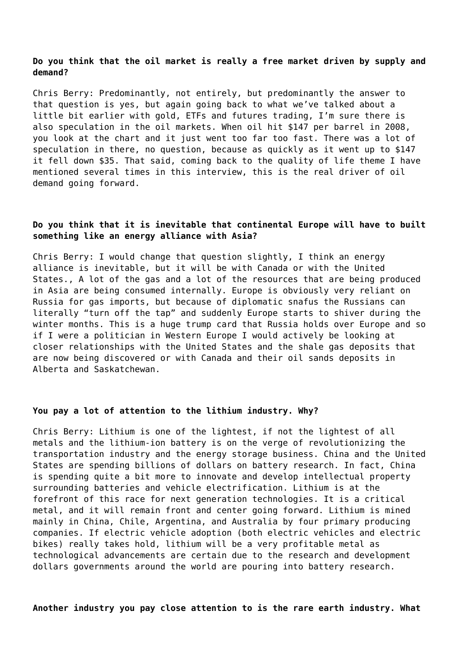#### **Do you think that the oil market is really a free market driven by supply and demand?**

Chris Berry: Predominantly, not entirely, but predominantly the answer to that question is yes, but again going back to what we've talked about a little bit earlier with gold, ETFs and futures trading, I'm sure there is also speculation in the oil markets. When oil hit \$147 per barrel in 2008, you look at the chart and it just went too far too fast. There was a lot of speculation in there, no question, because as quickly as it went up to \$147 it fell down \$35. That said, coming back to the quality of life theme I have mentioned several times in this interview, this is the real driver of oil demand going forward.

## **Do you think that it is inevitable that continental Europe will have to built something like an energy alliance with Asia?**

Chris Berry: I would change that question slightly, I think an energy alliance is inevitable, but it will be with Canada or with the United States., A lot of the gas and a lot of the resources that are being produced in Asia are being consumed internally. Europe is obviously very reliant on Russia for gas imports, but because of diplomatic snafus the Russians can literally "turn off the tap" and suddenly Europe starts to shiver during the winter months. This is a huge trump card that Russia holds over Europe and so if I were a politician in Western Europe I would actively be looking at closer relationships with the United States and the shale gas deposits that are now being discovered or with Canada and their oil sands deposits in Alberta and Saskatchewan.

#### **You pay a lot of attention to the lithium industry. Why?**

Chris Berry: Lithium is one of the lightest, if not the lightest of all metals and the lithium-ion battery is on the verge of revolutionizing the transportation industry and the energy storage business. China and the United States are spending billions of dollars on battery research. In fact, China is spending quite a bit more to innovate and develop intellectual property surrounding batteries and vehicle electrification. Lithium is at the forefront of this race for next generation technologies. It is a critical metal, and it will remain front and center going forward. Lithium is mined mainly in China, Chile, Argentina, and Australia by four primary producing companies. If electric vehicle adoption (both electric vehicles and electric bikes) really takes hold, lithium will be a very profitable metal as technological advancements are certain due to the research and development dollars governments around the world are pouring into battery research.

**Another industry you pay close attention to is the rare earth industry. What**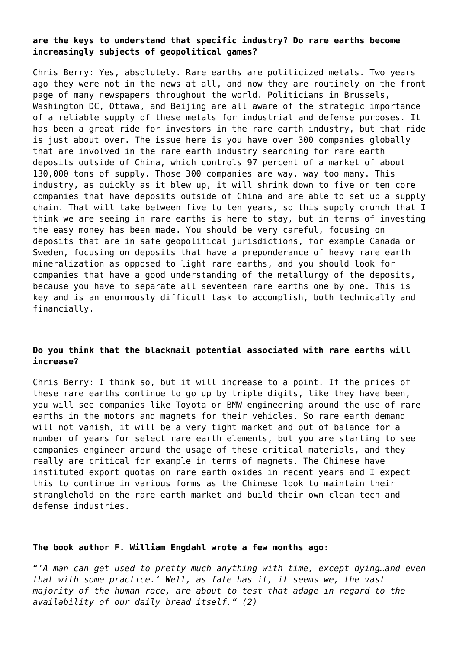## **are the keys to understand that specific industry? Do rare earths become increasingly subjects of geopolitical games?**

Chris Berry: Yes, absolutely. Rare earths are politicized metals. Two years ago they were not in the news at all, and now they are routinely on the front page of many newspapers throughout the world. Politicians in Brussels, Washington DC, Ottawa, and Beijing are all aware of the strategic importance of a reliable supply of these metals for industrial and defense purposes. It has been a great ride for investors in the rare earth industry, but that ride is just about over. The issue here is you have over 300 companies globally that are involved in the rare earth industry searching for rare earth deposits outside of China, which controls 97 percent of a market of about 130,000 tons of supply. Those 300 companies are way, way too many. This industry, as quickly as it blew up, it will shrink down to five or ten core companies that have deposits outside of China and are able to set up a supply chain. That will take between five to ten years, so this supply crunch that I think we are seeing in rare earths is here to stay, but in terms of investing the easy money has been made. You should be very careful, focusing on deposits that are in safe geopolitical jurisdictions, for example Canada or Sweden, focusing on deposits that have a preponderance of heavy rare earth mineralization as opposed to light rare earths, and you should look for companies that have a good understanding of the metallurgy of the deposits, because you have to separate all seventeen rare earths one by one. This is key and is an enormously difficult task to accomplish, both technically and financially.

## **Do you think that the blackmail potential associated with rare earths will increase?**

Chris Berry: I think so, but it will increase to a point. If the prices of these rare earths continue to go up by triple digits, like they have been, you will see companies like Toyota or BMW engineering around the use of rare earths in the motors and magnets for their vehicles. So rare earth demand will not vanish, it will be a very tight market and out of balance for a number of years for select rare earth elements, but you are starting to see companies engineer around the usage of these critical materials, and they really are critical for example in terms of magnets. The Chinese have instituted export quotas on rare earth oxides in recent years and I expect this to continue in various forms as the Chinese look to maintain their stranglehold on the rare earth market and build their own clean tech and defense industries.

#### **The book author F. William Engdahl wrote a few months ago:**

"*'A man can get used to pretty much anything with time, except dying…and even that with some practice.' Well, as fate has it, it seems we, the vast majority of the human race, are about to test that adage in regard to the availability of our daily bread itself." (2)*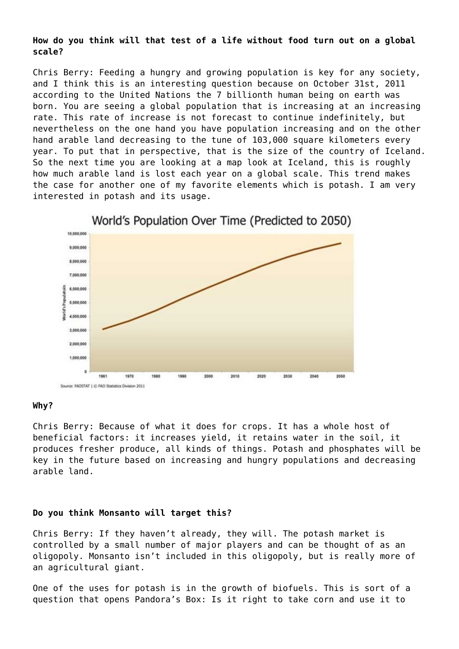**How do you think will that test of a life without food turn out on a global scale?**

Chris Berry: Feeding a hungry and growing population is key for any society, and I think this is an interesting question because on October 31st, 2011 according to the United Nations the 7 billionth human being on earth was born. You are seeing a global population that is increasing at an increasing rate. This rate of increase is not forecast to continue indefinitely, but nevertheless on the one hand you have population increasing and on the other hand arable land decreasing to the tune of 103,000 square kilometers every year. To put that in perspective, that is the size of the country of Iceland. So the next time you are looking at a map look at Iceland, this is roughly how much arable land is lost each year on a global scale. This trend makes the case for another one of my favorite elements which is potash. I am very interested in potash and its usage.



#### **Why?**

Chris Berry: Because of what it does for crops. It has a whole host of beneficial factors: it increases yield, it retains water in the soil, it produces fresher produce, all kinds of things. Potash and phosphates will be key in the future based on increasing and hungry populations and decreasing arable land.

#### **Do you think Monsanto will target this?**

Chris Berry: If they haven't already, they will. The potash market is controlled by a small number of major players and can be thought of as an oligopoly. Monsanto isn't included in this oligopoly, but is really more of an agricultural giant.

One of the uses for potash is in the growth of biofuels. This is sort of a question that opens Pandora's Box: Is it right to take corn and use it to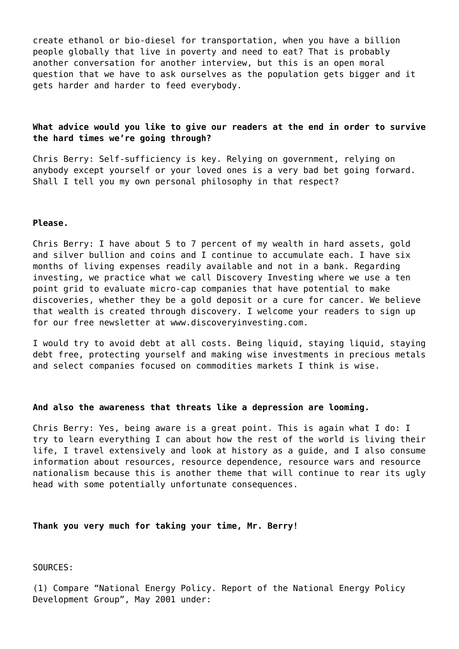create ethanol or bio-diesel for transportation, when you have a billion people globally that live in poverty and need to eat? That is probably another conversation for another interview, but this is an open moral question that we have to ask ourselves as the population gets bigger and it gets harder and harder to feed everybody.

#### **What advice would you like to give our readers at the end in order to survive the hard times we're going through?**

Chris Berry: Self-sufficiency is key. Relying on government, relying on anybody except yourself or your loved ones is a very bad bet going forward. Shall I tell you my own personal philosophy in that respect?

#### **Please.**

Chris Berry: I have about 5 to 7 percent of my wealth in hard assets, gold and silver bullion and coins and I continue to accumulate each. I have six months of living expenses readily available and not in a bank. Regarding investing, we practice what we call Discovery Investing where we use a ten point grid to evaluate micro-cap companies that have potential to make discoveries, whether they be a gold deposit or a cure for cancer. We believe that wealth is created through discovery. I welcome your readers to sign up for our free newsletter at [www.discoveryinvesting.com](http://www.discoveryinvesting.com/).

I would try to avoid debt at all costs. Being liquid, staying liquid, staying debt free, protecting yourself and making wise investments in precious metals and select companies focused on commodities markets I think is wise.

#### **And also the awareness that threats like a depression are looming.**

Chris Berry: Yes, being aware is a great point. This is again what I do: I try to learn everything I can about how the rest of the world is living their life, I travel extensively and look at history as a guide, and I also consume information about resources, resource dependence, resource wars and resource nationalism because this is another theme that will continue to rear its ugly head with some potentially unfortunate consequences.

#### **Thank you very much for taking your time, Mr. Berry!**

SOURCES:

(1) Compare "National Energy Policy. Report of the National Energy Policy Development Group", May 2001 under: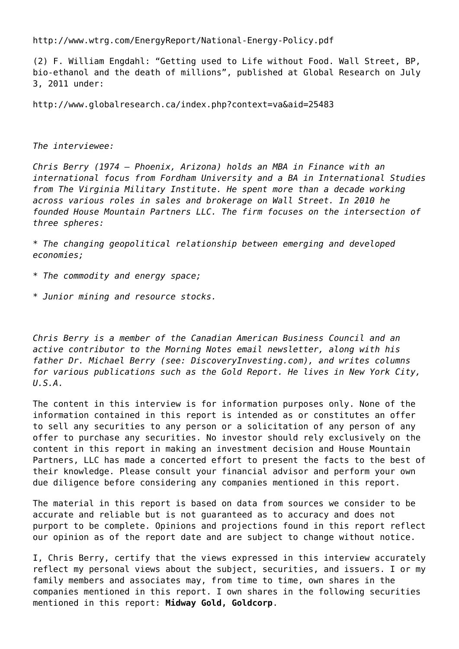<http://www.wtrg.com/EnergyReport/National-Energy-Policy.pdf>

(2) F. William Engdahl: "Getting used to Life without Food. Wall Street, BP, bio-ethanol and the death of millions", published at Global Research on July 3, 2011 under:

<http://www.globalresearch.ca/index.php?context=va&aid=25483>

#### *The interviewee:*

*Chris Berry (1974 – Phoenix, Arizona) holds an MBA in Finance with an international focus from Fordham University and a BA in International Studies from The Virginia Military Institute. He spent more than a decade working across various roles in sales and brokerage on Wall Street. In 2010 he founded House Mountain Partners LLC. The firm focuses on the intersection of three spheres:*

*\* The changing geopolitical relationship between emerging and developed economies;*

- *\* The commodity and energy space;*
- *\* Junior mining and resource stocks.*

*Chris Berry is a member of the Canadian American Business Council and an active contributor to the Morning Notes email newsletter, along with his father Dr. Michael Berry (see: [DiscoveryInvesting.com](http://discoveryinvesting.com/)), and writes columns for various publications such as the Gold Report. He lives in New York City, U.S.A.*

The content in this interview is for information purposes only. None of the information contained in this report is intended as or constitutes an offer to sell any securities to any person or a solicitation of any person of any offer to purchase any securities. No investor should rely exclusively on the content in this report in making an investment decision and House Mountain Partners, LLC has made a concerted effort to present the facts to the best of their knowledge. Please consult your financial advisor and perform your own due diligence before considering any companies mentioned in this report.

The material in this report is based on data from sources we consider to be accurate and reliable but is not guaranteed as to accuracy and does not purport to be complete. Opinions and projections found in this report reflect our opinion as of the report date and are subject to change without notice.

I, Chris Berry, certify that the views expressed in this interview accurately reflect my personal views about the subject, securities, and issuers. I or my family members and associates may, from time to time, own shares in the companies mentioned in this report. I own shares in the following securities mentioned in this report: **Midway Gold, Goldcorp**.